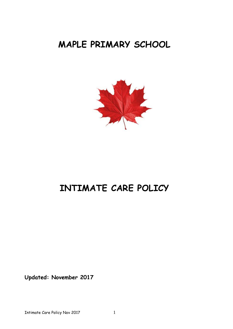# **MAPLE PRIMARY SCHOOL**



# **INTIMATE CARE POLICY**

**Updated: November 2017**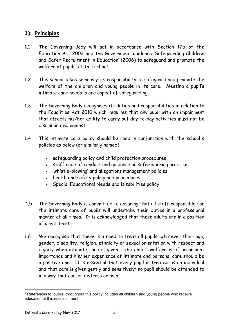### **1) Principles**

- 1.1 The Governing Body will act in accordance with Section 175 of the Education Act 2002 and the Government guidance 'Safeguarding Children and Safer Recruitment in Education' (2006) to safeguard and promote the welfare of pupils<sup>1</sup> at this school.
- 1.2 This school takes seriously its responsibility to safeguard and promote the welfare of the children and young people in its care. Meeting a pupil's intimate care needs is one aspect of safeguarding.
- 1.3 The Governing Body recognises its duties and responsibilities in relation to the Equalities Act 2010 which requires that any pupil with an impairment that affects his/her ability to carry out day-to-day activities must not be discriminated against.
- 1.4 This intimate care policy should be read in conjunction with the school's policies as below (or similarly named):
	- safeguarding policy and child protection procedures
	- staff code of conduct and guidance on safer working practice
	- 'whistle-blowing' and allegations management policies
	- health and safety policy and procedures
	- Special Educational Needs and Disabilities policy
- 1.5 The Governing Body is committed to ensuring that all staff responsible for the intimate care of pupils will undertake their duties in a professional manner at all times. It is acknowledged that these adults are in a position of great trust.
- 1.6 We recognise that there is a need to treat all pupils, whatever their age, gender, disability, religion, ethnicity or sexual orientation with respect and dignity when intimate care is given. The child's welfare is of paramount importance and his/her experience of intimate and personal care should be a positive one. It is essential that every pupil is treated as an individual and that care is given gently and sensitively: no pupil should be attended to in a way that causes distress or pain.

<sup>1</sup> <sup>1</sup> References to 'pupils' throughout this policy includes all children and young people who receive education at this establishment.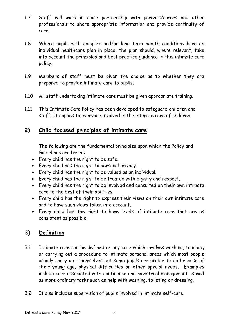- 1.7 Staff will work in close partnership with parents/carers and other professionals to share appropriate information and provide continuity of care.
- 1.8 Where pupils with complex and/or long term health conditions have an individual healthcare plan in place, the plan should, where relevant, take into account the principles and best practice guidance in this intimate care policy.
- 1.9 Members of staff must be given the choice as to whether they are prepared to provide intimate care to pupils.
- 1.10 All staff undertaking intimate care must be given appropriate training.
- 1.11 This Intimate Care Policy has been developed to safeguard children and staff. It applies to everyone involved in the intimate care of children.

### **2) Child focused principles of intimate care**

The following are the fundamental principles upon which the Policy and Guidelines are based:

- Every child has the right to be safe.
- Every child has the right to personal privacy.
- Every child has the right to be valued as an individual.
- Every child has the right to be treated with dignity and respect.
- Every child has the right to be involved and consulted on their own intimate care to the best of their abilities.
- Every child has the right to express their views on their own intimate care and to have such views taken into account.
- Every child has the right to have levels of intimate care that are as consistent as possible.

# **3) Definition**

- 3.1 Intimate care can be defined as any care which involves washing, touching or carrying out a procedure to intimate personal areas which most people usually carry out themselves but some pupils are unable to do because of their young age, physical difficulties or other special needs. Examples include care associated with continence and menstrual management as well as more ordinary tasks such as help with washing, toileting or dressing.
- 3.2 It also includes supervision of pupils involved in intimate self-care.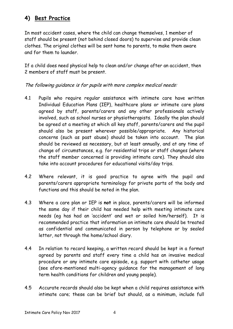## **4) Best Practice**

In most accident cases, where the child can change themselves, 1 member of staff should be present (not behind closed doors) to supervise and provide clean clothes. The original clothes will be sent home to parents, to make them aware and for them to launder.

If a child does need physical help to clean and/or change after an accident, then 2 members of staff must be present.

The following guidance is for pupils with more complex medical needs:

- 4.1 Pupils who require regular assistance with intimate care have written Individual Education Plans (IEP), healthcare plans or intimate care plans agreed by staff, parents/carers and any other professionals actively involved, such as school nurses or physiotherapists. Ideally the plan should be agreed at a meeting at which all key staff, parents/carers and the pupil should also be present wherever possible/appropriate. Any historical concerns (such as past abuse) should be taken into account. The plan should be reviewed as necessary, but at least annually, and at any time of change of circumstances, e.g. for residential trips or staff changes (where the staff member concerned is providing intimate care). They should also take into account procedures for educational visits/day trips.
- 4.2 Where relevant, it is good practice to agree with the pupil and parents/carers appropriate terminology for private parts of the body and functions and this should be noted in the plan.
- 4.3 Where a care plan or IEP is **not** in place, parents/carers will be informed the same day if their child has needed help with meeting intimate care needs (eg has had an 'accident' and wet or soiled him/herself). It is recommended practice that information on intimate care should be treated as confidential and communicated in person by telephone or by sealed letter, not through the home/school diary.
- 4.4 In relation to record keeping, a written record should be kept in a format agreed by parents and staff every time a child has an invasive medical procedure or any intimate care episode, e.g. support with catheter usage (see afore-mentioned multi-agency guidance for the management of long term health conditions for children and young people).
- 4.5 Accurate records should also be kept when a child requires assistance with intimate care; these can be brief but should, as a minimum, include full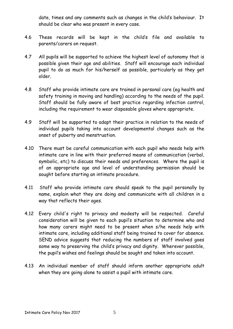date, times and any comments such as changes in the child's behaviour. It should be clear who was present in every case.

- 4.6 These records will be kept in the child's file and available to parents/carers on request.
- 4.7 All pupils will be supported to achieve the highest level of autonomy that is possible given their age and abilities. Staff will encourage each individual pupil to do as much for his/herself as possible, particularly as they get older.
- 4.8 Staff who provide intimate care are trained in personal care (eg health and safety training in moving and handling) according to the needs of the pupil. Staff should be fully aware of best practice regarding infection control, including the requirement to wear disposable gloves where appropriate.
- 4.9 Staff will be supported to adapt their practice in relation to the needs of individual pupils taking into account developmental changes such as the onset of puberty and menstruation.
- 4.10 There must be careful communication with each pupil who needs help with intimate care in line with their preferred means of communication (verbal, symbolic, etc) to discuss their needs and preferences. Where the pupil is of an appropriate age and level of understanding permission should be sought before starting an intimate procedure.
- 4.11 Staff who provide intimate care should speak to the pupil personally by name, explain what they are doing and communicate with all children in a way that reflects their ages.
- 4.12 Every child's right to privacy and modesty will be respected. Careful consideration will be given to each pupil's situation to determine who and how many carers might need to be present when s/he needs help with intimate care, including additional staff being trained to cover for absence. SEND advice suggests that reducing the numbers of staff involved goes some way to preserving the child's privacy and dignity. Wherever possible, the pupil's wishes and feelings should be sought and taken into account.
- 4.13 An individual member of staff should inform another appropriate adult when they are going alone to assist a pupil with intimate care.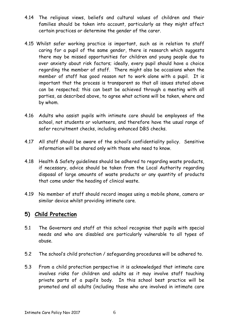- 4.14 The religious views, beliefs and cultural values of children and their families should be taken into account, particularly as they might affect certain practices or determine the gender of the carer.
- 4.15 Whilst safer working practice is important, such as in relation to staff caring for a pupil of the same gender, there is research which suggests there may be missed opportunities for children and young people due to over anxiety about risk factors; ideally, every pupil should have a choice regarding the member of staff. There might also be occasions when the member of staff has good reason not to work alone with a pupil. It is important that the process is transparent so that all issues stated above can be respected; this can best be achieved through a meeting with all parties, as described above, to agree what actions will be taken, where and by whom.
- 4.16 Adults who assist pupils with intimate care should be employees of the school, not students or volunteers, and therefore have the usual range of safer recruitment checks, including enhanced DBS checks.
- 4.17 All staff should be aware of the school's confidentiality policy. Sensitive information will be shared only with those who need to know.
- 4.18 Health & Safety guidelines should be adhered to regarding waste products, if necessary, advice should be taken from the Local Authority regarding disposal of large amounts of waste products or any quantity of products that come under the heading of clinical waste.
- 4.19 No member of staff should record images using a mobile phone, camera or similar device whilst providing intimate care.

### **5) Child Protection**

- 5.1 The Governors and staff at this school recognise that pupils with special needs and who are disabled are particularly vulnerable to all types of abuse.
- 5.2 The school's child protection / safeguarding procedures will be adhered to.
- 5.3 From a child protection perspective it is acknowledged that intimate care involves risks for children and adults as it may involve staff touching private parts of a pupil's body. In this school best practice will be promoted and all adults (including those who are involved in intimate care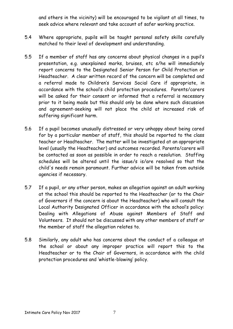and others in the vicinity) will be encouraged to be vigilant at all times, to seek advice where relevant and take account of safer working practice.

- 5.4 Where appropriate, pupils will be taught personal safety skills carefully matched to their level of development and understanding.
- 5.5 If a member of staff has any concerns about physical changes in a pupil's presentation, e.g. unexplained marks, bruises, etc s/he will immediately report concerns to the Designated Senior Person for Child Protection or Headteacher. A clear written record of the concern will be completed and a referral made to Children's Services Social Care if appropriate, in accordance with the school's child protection procedures. Parents/carers will be asked for their consent or informed that a referral is necessary prior to it being made but this should only be done where such discussion and agreement-seeking will not place the child at increased risk of suffering significant harm.
- 5.6 If a pupil becomes unusually distressed or very unhappy about being cared for by a particular member of staff, this should be reported to the class teacher or Headteacher. The matter will be investigated at an appropriate level (usually the Headteacher) and outcomes recorded. Parents/carers will be contacted as soon as possible in order to reach a resolution. Staffing schedules will be altered until the issue/s is/are resolved so that the child's needs remain paramount. Further advice will be taken from outside agencies if necessary.
- 5.7 If a pupil, or any other person, makes an allegation against an adult working at the school this should be reported to the Headteacher (or to the Chair of Governors if the concern is about the Headteacher) who will consult the Local Authority Designated Officer in accordance with the school's policy: Dealing with Allegations of Abuse against Members of Staff and Volunteers. It should not be discussed with any other members of staff or the member of staff the allegation relates to.
- 5.8 Similarly, any adult who has concerns about the conduct of a colleague at the school or about any improper practice will report this to the Headteacher or to the Chair of Governors, in accordance with the child protection procedures and 'whistle-blowing' policy.